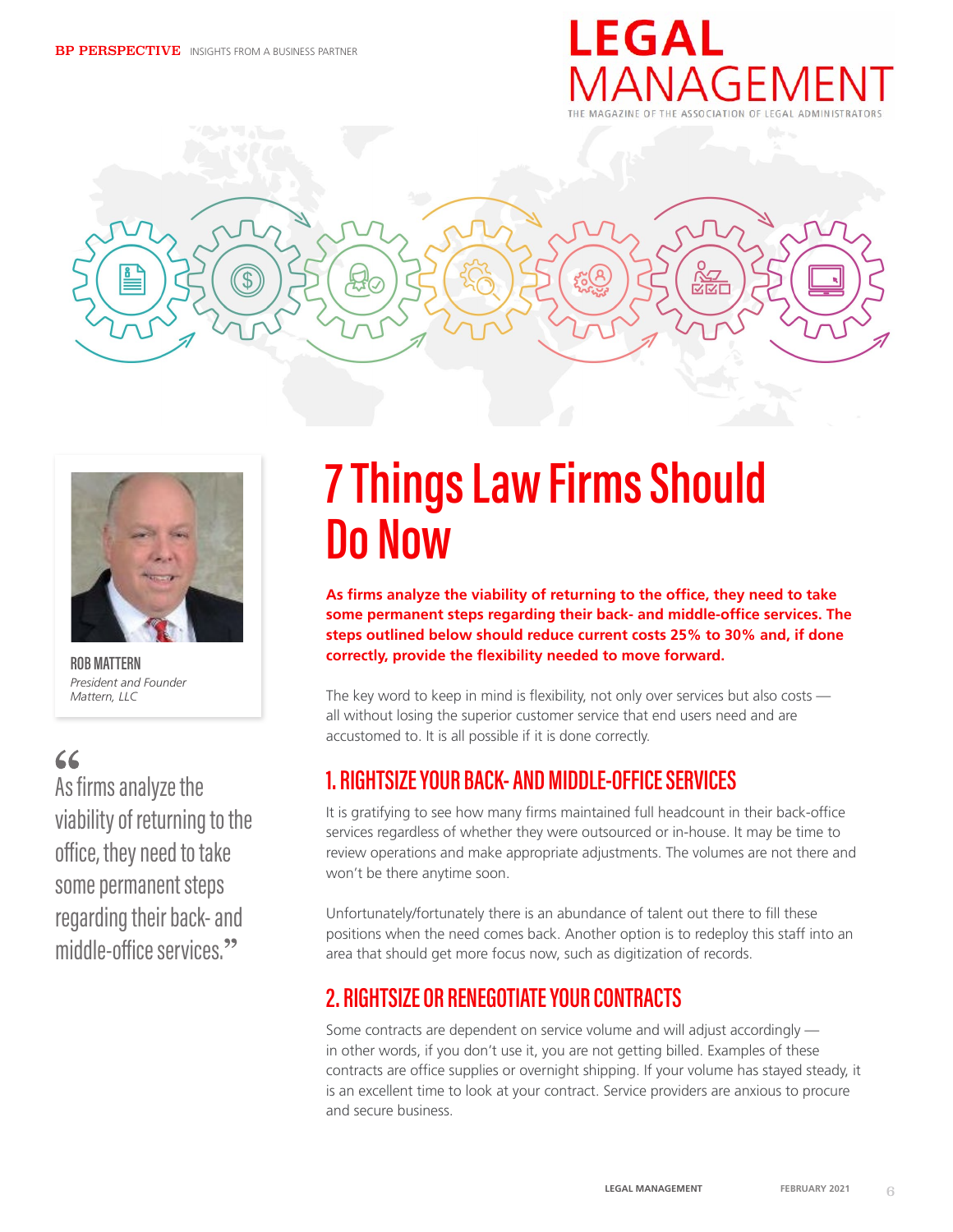





**ROB MATTERN** *President and Founder Mattern, LLC*

# $66$

As firms analyze the viability of returning to the office, they need to take some permanent steps regarding their back- and middle-office services.**"**

# **7 Things Law Firms Should Do Now**

**As firms analyze the viability of returning to the office, they need to take some permanent steps regarding their back- and middle-office services. The steps outlined below should reduce current costs 25% to 30% and, if done correctly, provide the flexibility needed to move forward.**

The key word to keep in mind is flexibility, not only over services but also costs all without losing the superior customer service that end users need and are accustomed to. It is all possible if it is done correctly.

# **1. RIGHTSIZE YOUR BACK- AND MIDDLE-OFFICE SERVICES**

It is gratifying to see how many firms maintained full headcount in their back-office services regardless of whether they were outsourced or in-house. It may be time to review operations and make appropriate adjustments. The volumes are not there and won't be there anytime soon.

Unfortunately/fortunately there is an abundance of talent out there to fill these positions when the need comes back. Another option is to redeploy this staff into an area that should get more focus now, such as digitization of records.

# **2. RIGHTSIZE OR RENEGOTIATE YOUR CONTRACTS**

Some contracts are dependent on service volume and will adjust accordingly in other words, if you don't use it, you are not getting billed. Examples of these contracts are office supplies or overnight shipping. If your volume has stayed steady, it is an excellent time to look at your contract. Service providers are anxious to procure and secure business.